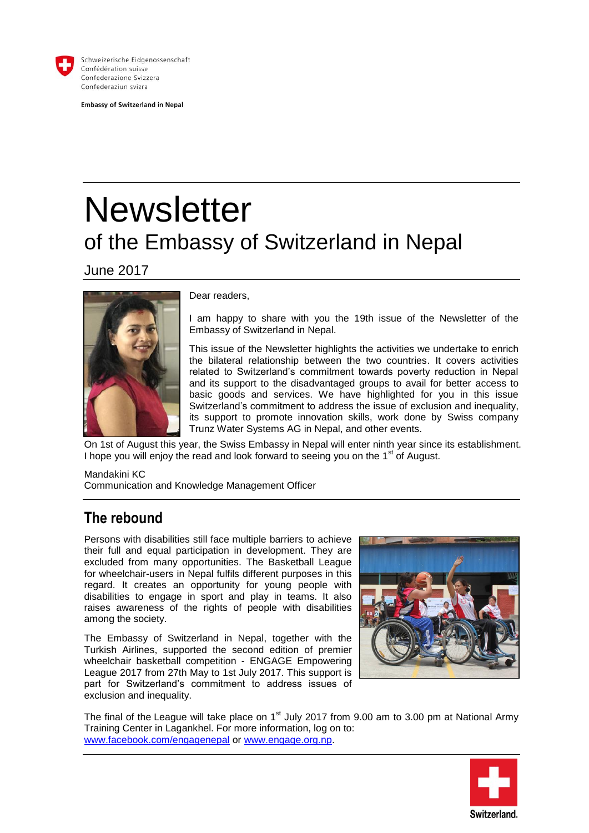

Schweizerische Eidgenossenschaft Confédération suisse Confederazione Svizzera Confederaziun svizra

**Embassy of Switzerland in Nepal** 

# **Newsletter** of the Embassy of Switzerland in Nepal

June 2017



Dear readers,

I am happy to share with you the 19th issue of the Newsletter of the Embassy of Switzerland in Nepal.

This issue of the Newsletter highlights the activities we undertake to enrich the bilateral relationship between the two countries. It covers activities related to Switzerland's commitment towards poverty reduction in Nepal and its support to the disadvantaged groups to avail for better access to basic goods and services. We have highlighted for you in this issue Switzerland's commitment to address the issue of exclusion and inequality, its support to promote innovation skills, work done by Swiss company Trunz Water Systems AG in Nepal, and other events.

On 1st of August this year, the Swiss Embassy in Nepal will enter ninth year since its establishment. I hope you will enjoy the read and look forward to seeing you on the  $1<sup>st</sup>$  of August.

Mandakini KC Communication and Knowledge Management Officer

#### **The rebound**

Persons with disabilities still face multiple barriers to achieve their full and equal participation in development. They are excluded from many opportunities. The Basketball League for wheelchair-users in Nepal fulfils different purposes in this regard. It creates an opportunity for young people with disabilities to engage in sport and play in teams. It also raises awareness of the rights of people with disabilities among the society.

The Embassy of Switzerland in Nepal, together with the Turkish Airlines, supported the second edition of premier wheelchair basketball competition - ENGAGE Empowering League 2017 from 27th May to 1st July 2017. This support is part for Switzerland's commitment to address issues of exclusion and inequality.



The final of the League will take place on 1<sup>st</sup> July 2017 from 9.00 am to 3.00 pm at National Army Training Center in Lagankhel. For more information, log on to: [www.facebook.com/engagenepal](http://www.facebook.com/engagenepal) or [www.engage.org.np.](http://www.engage.org.np/)

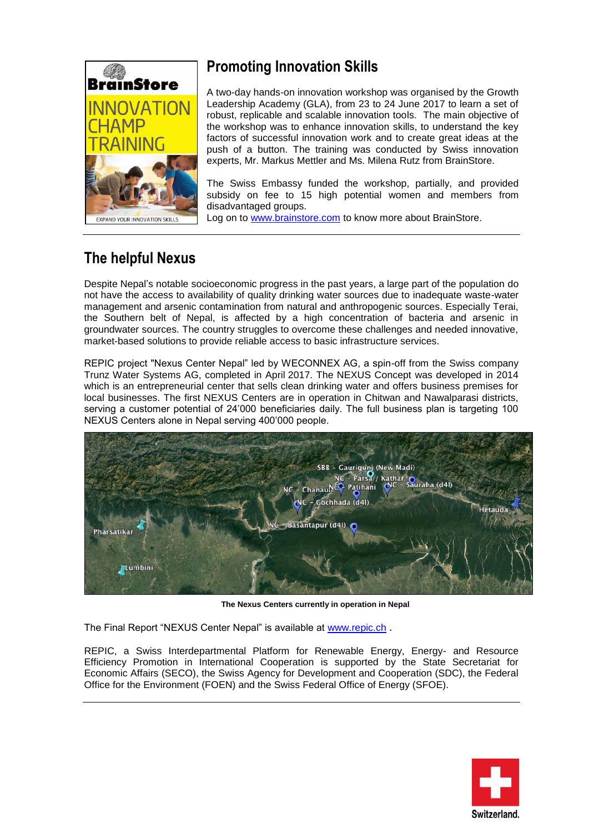

### **Promoting Innovation Skills**

A two-day hands-on innovation workshop was organised by the Growth Leadership Academy (GLA), from 23 to 24 June 2017 to learn a set of robust, replicable and scalable innovation tools. The main objective of the workshop was to enhance innovation skills, to understand the key factors of successful innovation work and to create great ideas at the push of a button. The training was conducted by Swiss innovation experts, Mr. Markus Mettler and Ms. Milena Rutz from BrainStore.

The Swiss Embassy funded the workshop, partially, and provided subsidy on fee to 15 high potential women and members from disadvantaged groups.

Log on to [www.brainstore.com](http://www.brainstore.com/) to know more about BrainStore.

## **The helpful Nexus**

Despite Nepal's notable socioeconomic progress in the past years, a large part of the population do not have the access to availability of quality drinking water sources due to inadequate waste-water management and arsenic contamination from natural and anthropogenic sources. Especially Terai, the Southern belt of Nepal, is affected by a high concentration of bacteria and arsenic in groundwater sources. The country struggles to overcome these challenges and needed innovative, market-based solutions to provide reliable access to basic infrastructure services.

REPIC project "Nexus Center Nepal" led by WECONNEX AG, a spin-off from the Swiss company Trunz Water Systems AG, completed in April 2017. The NEXUS Concept was developed in 2014 which is an entrepreneurial center that sells clean drinking water and offers business premises for local businesses. The first NEXUS Centers are in operation in Chitwan and Nawalparasi districts, serving a customer potential of 24'000 beneficiaries daily. The full business plan is targeting 100 NEXUS Centers alone in Nepal serving 400'000 people.



**The Nexus Centers currently in operation in Nepal**

The Final Report "NEXUS Center Nepal" is available at [www.repic.ch](http://www.repic.ch/) .

REPIC, a Swiss Interdepartmental Platform for Renewable Energy, Energy- and Resource Efficiency Promotion in International Cooperation is supported by the State Secretariat for Economic Affairs (SECO), the Swiss Agency for Development and Cooperation (SDC), the Federal Office for the Environment (FOEN) and the Swiss Federal Office of Energy (SFOE).

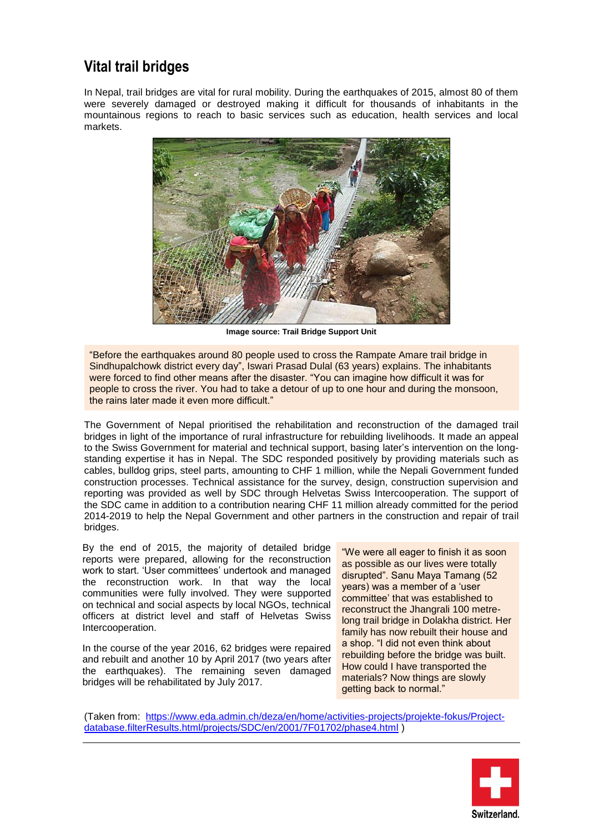#### **Vital trail bridges**

In Nepal, trail bridges are vital for rural mobility. During the earthquakes of 2015, almost 80 of them were severely damaged or destroyed making it difficult for thousands of inhabitants in the mountainous regions to reach to basic services such as education, health services and local markets.



**Image source: Trail Bridge Support Unit**

"Before the earthquakes around 80 people used to cross the Rampate Amare trail bridge in Sindhupalchowk district every day", Iswari Prasad Dulal (63 years) explains. The inhabitants were forced to find other means after the disaster. "You can imagine how difficult it was for people to cross the river. You had to take a detour of up to one hour and during the monsoon, the rains later made it even more difficult."

The Government of Nepal prioritised the rehabilitation and reconstruction of the damaged trail bridges in light of the importance of rural infrastructure for rebuilding livelihoods. It made an appeal to the Swiss Government for material and technical support, basing later's intervention on the longstanding expertise it has in Nepal. The SDC responded positively by providing materials such as cables, bulldog grips, steel parts, amounting to CHF 1 million, while the Nepali Government funded construction processes. Technical assistance for the survey, design, construction supervision and reporting was provided as well by SDC through Helvetas Swiss Intercooperation. The support of the SDC came in addition to a contribution nearing CHF 11 million already committed for the period 2014-2019 to help the Nepal Government and other partners in the construction and repair of trail bridges.

By the end of 2015, the majority of detailed bridge reports were prepared, allowing for the reconstruction work to start. 'User committees' undertook and managed the reconstruction work. In that way the local communities were fully involved. They were supported on technical and social aspects by local NGOs, technical officers at district level and staff of Helvetas Swiss Intercooperation.

In the course of the year 2016, 62 bridges were repaired and rebuilt and another 10 by April 2017 (two years after the earthquakes). The remaining seven damaged bridges will be rehabilitated by July 2017.

"We were all eager to finish it as soon as possible as our lives were totally disrupted". Sanu Maya Tamang (52 years) was a member of a 'user committee' that was established to reconstruct the Jhangrali 100 metrelong trail bridge in Dolakha district. Her family has now rebuilt their house and a shop. "I did not even think about rebuilding before the bridge was built. How could I have transported the materials? Now things are slowly getting back to normal."

(Taken from: [https://www.eda.admin.ch/deza/en/home/activities-projects/projekte-fokus/Project](https://www.eda.admin.ch/deza/en/home/activities-projects/projekte-fokus/Project-database.filterResults.html/projects/SDC/en/2001/7F01702/phase4.html)[database.filterResults.html/projects/SDC/en/2001/7F01702/phase4.html](https://www.eda.admin.ch/deza/en/home/activities-projects/projekte-fokus/Project-database.filterResults.html/projects/SDC/en/2001/7F01702/phase4.html) )

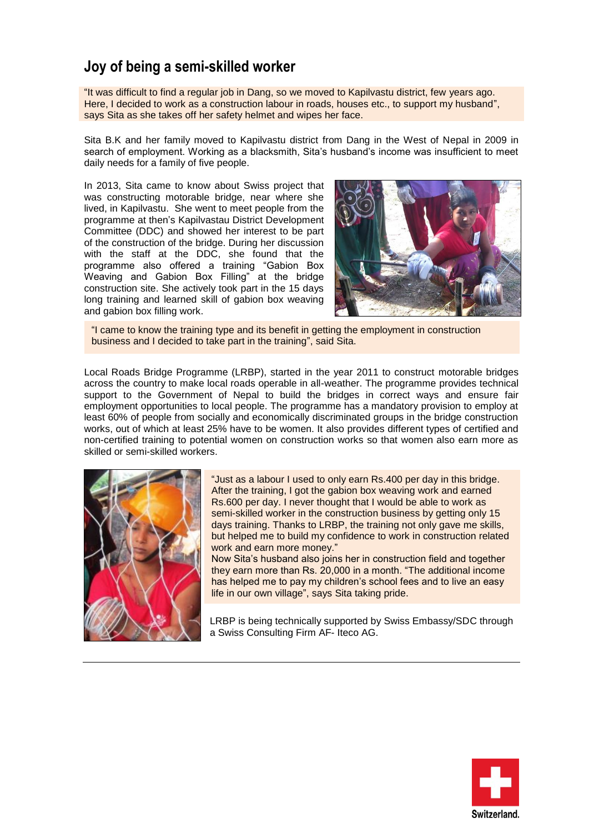#### **Joy of being a semi-skilled worker**

"It was difficult to find a regular job in Dang, so we moved to Kapilvastu district, few years ago. Here, I decided to work as a construction labour in roads, houses etc., to support my husband", says Sita as she takes off her safety helmet and wipes her face.

Sita B.K and her family moved to Kapilvastu district from Dang in the West of Nepal in 2009 in search of employment. Working as a blacksmith, Sita's husband's income was insufficient to meet daily needs for a family of five people.

In 2013, Sita came to know about Swiss project that was constructing motorable bridge, near where she lived, in Kapilvastu. She went to meet people from the programme at then's Kapilvastau District Development Committee (DDC) and showed her interest to be part of the construction of the bridge. During her discussion with the staff at the DDC, she found that the programme also offered a training "Gabion Box Weaving and Gabion Box Filling" at the bridge construction site. She actively took part in the 15 days long training and learned skill of gabion box weaving and gabion box filling work.



"I came to know the training type and its benefit in getting the employment in construction business and I decided to take part in the training", said Sita.

Local Roads Bridge Programme (LRBP), started in the year 2011 to construct motorable bridges across the country to make local roads operable in all-weather. The programme provides technical support to the Government of Nepal to build the bridges in correct ways and ensure fair employment opportunities to local people. The programme has a mandatory provision to employ at least 60% of people from socially and economically discriminated groups in the bridge construction works, out of which at least 25% have to be women. It also provides different types of certified and non-certified training to potential women on construction works so that women also earn more as skilled or semi-skilled workers.



"Just as a labour I used to only earn Rs.400 per day in this bridge. After the training, I got the gabion box weaving work and earned Rs.600 per day. I never thought that I would be able to work as semi-skilled worker in the construction business by getting only 15 days training. Thanks to LRBP, the training not only gave me skills, but helped me to build my confidence to work in construction related work and earn more money."

Now Sita's husband also joins her in construction field and together they earn more than Rs. 20,000 in a month. "The additional income has helped me to pay my children's school fees and to live an easy life in our own village", says Sita taking pride.

LRBP is being technically supported by Swiss Embassy/SDC through a Swiss Consulting Firm AF- Iteco AG.